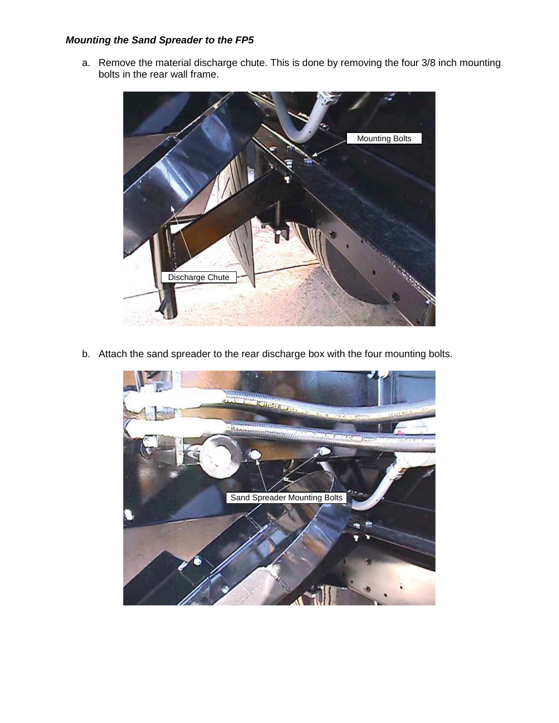## *Mounting the Sand Spreader to the FP5*

a. Remove the material discharge chute. This is done by removing the four 3/8 inch mounting bolts in the rear wall frame.



b. Attach the sand spreader to the rear discharge box with the four mounting bolts.